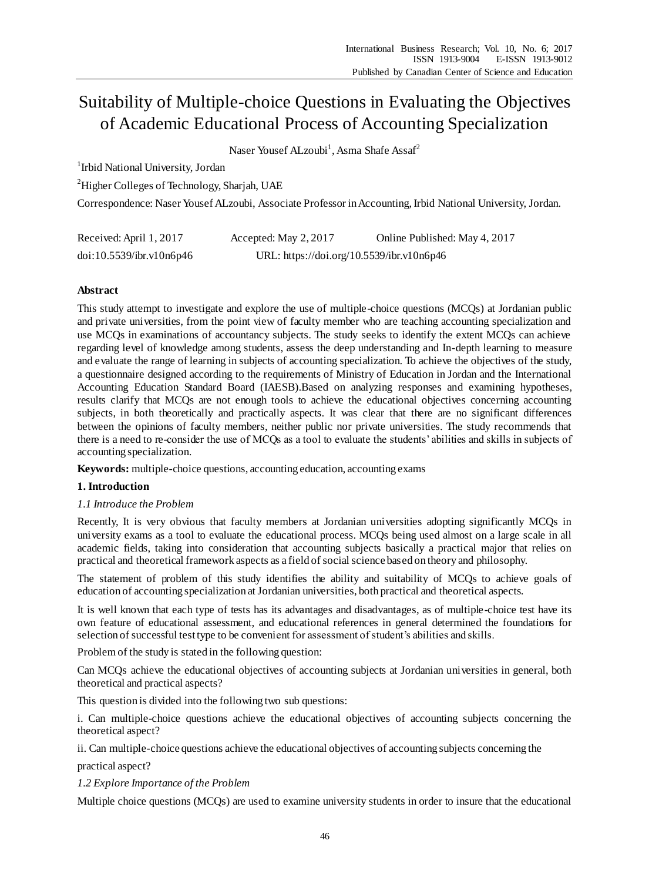# Suitability of Multiple-choice Questions in Evaluating the Objectives of Academic Educational Process of Accounting Specialization

Naser Yousef ALzoubi<sup>1</sup>, Asma Shafe Assaf<sup>2</sup>

<sup>1</sup> Irbid National University, Jordan

<sup>2</sup>Higher Colleges of Technology, Sharjah, UAE

Correspondence: Naser Yousef ALzoubi, Associate Professor in Accounting, Irbid National University, Jordan.

| Received: April 1, 2017  | Accepted: May 2, 2017                     | Online Published: May 4, 2017 |
|--------------------------|-------------------------------------------|-------------------------------|
| doi:10.5539/ibr.v10n6p46 | URL: https://doi.org/10.5539/ibr.v10n6p46 |                               |

# **Abstract**

This study attempt to investigate and explore the use of multiple-choice questions (MCQs) at Jordanian public and private universities, from the point view of faculty member who are teaching accounting specialization and use MCQs in examinations of accountancy subjects. The study seeks to identify the extent MCQs can achieve regarding level of knowledge among students, assess the deep understanding and In-depth learning to measure and evaluate the range of learning in subjects of accounting specialization. To achieve the objectives of the study, a questionnaire designed according to the requirements of Ministry of Education in Jordan and the International Accounting Education Standard Board (IAESB).Based on analyzing responses and examining hypotheses, results clarify that MCQs are not enough tools to achieve the educational objectives concerning accounting subjects, in both theoretically and practically aspects. It was clear that there are no significant differences between the opinions of faculty members, neither public nor private universities. The study recommends that there is a need to re-consider the use of MCQs as a tool to evaluate the students' abilities and skills in subjects of accounting specialization.

**Keywords:** multiple-choice questions, accounting education, accounting exams

# **1. Introduction**

# *1.1 Introduce the Problem*

Recently, It is very obvious that faculty members at Jordanian universities adopting significantly MCQs in university exams as a tool to evaluate the educational process. MCQs being used almost on a large scale in all academic fields, taking into consideration that accounting subjects basically a practical major that relies on practical and theoretical framework aspects as a field of social science based on theory and philosophy.

The statement of problem of this study identifies the ability and suitability of MCQs to achieve goals of education of accounting specialization at Jordanian universities, both practical and theoretical aspects.

It is well known that each type of tests has its advantages and disadvantages, as of multiple-choice test have its own feature of educational assessment, and educational references in general determined the foundations for selection of successful test type to be convenient for assessment of student's abilities and skills.

Problem of the study is stated in the following question:

Can MCQs achieve the educational objectives of accounting subjects at Jordanian universities in general, both theoretical and practical aspects?

This question is divided into the following two sub questions:

i. Can multiple-choice questions achieve the educational objectives of accounting subjects concerning the theoretical aspect?

ii. Can multiple-choice questions achieve the educational objectives of accounting subjects concerning the

practical aspect?

*1.2 Explore Importance of the Problem*

Multiple choice questions (MCQs) are used to examine university students in order to insure that the educational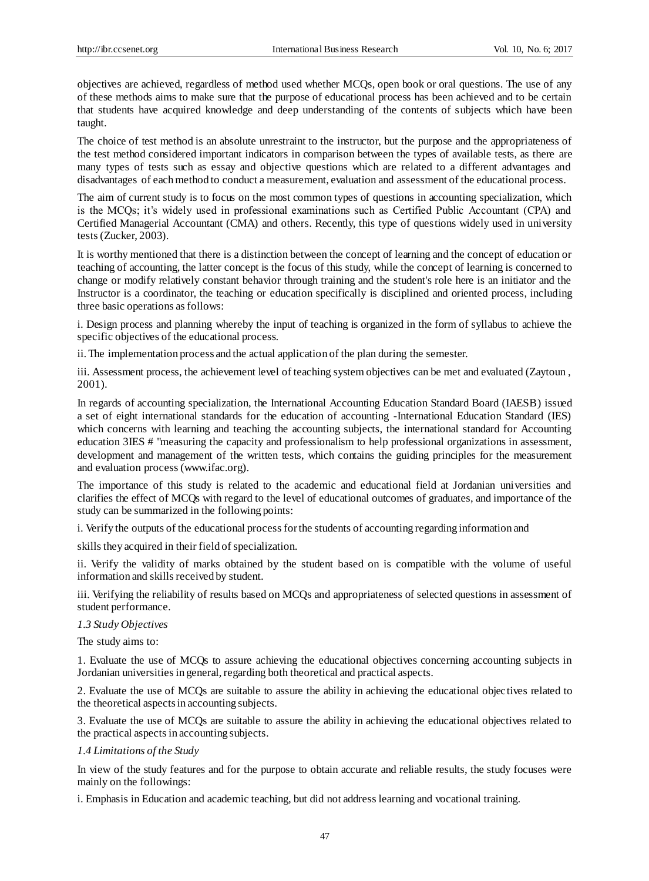objectives are achieved, regardless of method used whether MCQs, open book or oral questions. The use of any of these methods aims to make sure that the purpose of educational process has been achieved and to be certain that students have acquired knowledge and deep understanding of the contents of subjects which have been taught.

The choice of test method is an absolute unrestraint to the instructor, but the purpose and the appropriateness of the test method considered important indicators in comparison between the types of available tests, as there are many types of tests such as essay and objective questions which are related to a different advantages and disadvantages of each method to conduct a measurement, evaluation and assessment of the educational process.

The aim of current study is to focus on the most common types of questions in accounting specialization, which is the MCQs; it's widely used in professional examinations such as Certified Public Accountant (CPA) and Certified Managerial Accountant (CMA) and others. Recently, this type of questions widely used in university tests (Zucker, 2003).

It is worthy mentioned that there is a distinction between the concept of learning and the concept of education or teaching of accounting, the latter concept is the focus of this study, while the concept of learning is concerned to change or modify relatively constant behavior through training and the student's role here is an initiator and the Instructor is a coordinator, the teaching or education specifically is disciplined and oriented process, including three basic operations as follows:

i. Design process and planning whereby the input of teaching is organized in the form of syllabus to achieve the specific objectives of the educational process.

ii. The implementation process and the actual application of the plan during the semester.

iii. Assessment process, the achievement level of teaching system objectives can be met and evaluated (Zaytoun , 2001).

In regards of accounting specialization, the International Accounting Education Standard Board (IAESB) issued a set of eight international standards for the education of accounting -International Education Standard (IES) which concerns with learning and teaching the accounting subjects, the international standard for Accounting education 3IES # "measuring the capacity and professionalism to help professional organizations in assessment, development and management of the written tests, which contains the guiding principles for the measurement and evaluation process (www.ifac.org).

The importance of this study is related to the academic and educational field at Jordanian universities and clarifies the effect of MCQs with regard to the level of educational outcomes of graduates, and importance of the study can be summarized in the following points:

i. Verify the outputs of the educational process for the students of accounting regarding information and

skills they acquired in their field of specialization.

ii. Verify the validity of marks obtained by the student based on is compatible with the volume of useful information and skills received by student.

iii. Verifying the reliability of results based on MCQs and appropriateness of selected questions in assessment of student performance.

# *1.3 Study Objectives*

The study aims to:

1. Evaluate the use of MCQs to assure achieving the educational objectives concerning accounting subjects in Jordanian universities in general, regarding both theoretical and practical aspects.

2. Evaluate the use of MCQs are suitable to assure the ability in achieving the educational objectives related to the theoretical aspects in accounting subjects.

3. Evaluate the use of MCQs are suitable to assure the ability in achieving the educational objectives related to the practical aspects in accounting subjects.

#### *1.4 Limitations of the Study*

In view of the study features and for the purpose to obtain accurate and reliable results, the study focuses were mainly on the followings:

i. Emphasis in Education and academic teaching, but did not address learning and vocational training.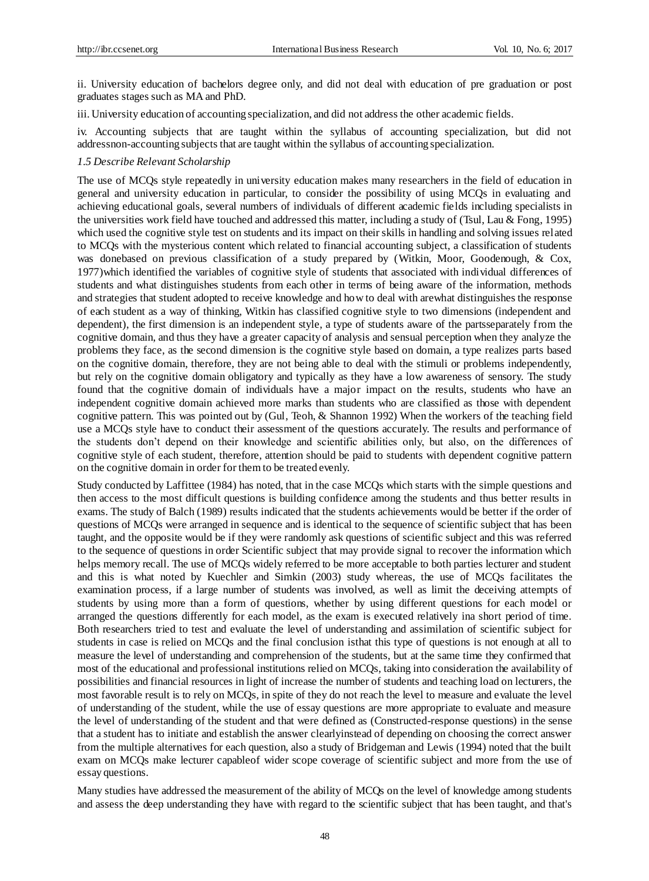ii. University education of bachelors degree only, and did not deal with education of pre graduation or post graduates stages such as MA and PhD.

iii. University education of accounting specialization, and did not address the other academic fields.

iv. Accounting subjects that are taught within the syllabus of accounting specialization, but did not addressnon-accounting subjects that are taught within the syllabus of accounting specialization.

#### *1.5 Describe Relevant Scholarship*

The use of MCQs style repeatedly in university education makes many researchers in the field of education in general and university education in particular, to consider the possibility of using MCQs in evaluating and achieving educational goals, several numbers of individuals of different academic fields including specialists in the universities work field have touched and addressed this matter, including a study of (Tsul, Lau & Fong, 1995) which used the cognitive style test on students and its impact on their skills in handling and solving issues related to MCQs with the mysterious content which related to financial accounting subject, a classification of students was donebased on previous classification of a study prepared by (Witkin, Moor, Goodenough, & Cox, 1977)which identified the variables of cognitive style of students that associated with individual differences of students and what distinguishes students from each other in terms of being aware of the information, methods and strategies that student adopted to receive knowledge and how to deal with arewhat distinguishes the response of each student as a way of thinking, Witkin has classified cognitive style to two dimensions (independent and dependent), the first dimension is an independent style, a type of students aware of the partsseparately from the cognitive domain, and thus they have a greater capacity of analysis and sensual perception when they analyze the problems they face, as the second dimension is the cognitive style based on domain, a type realizes parts based on the cognitive domain, therefore, they are not being able to deal with the stimuli or problems independently, but rely on the cognitive domain obligatory and typically as they have a low awareness of sensory. The study found that the cognitive domain of individuals have a major impact on the results, students who have an independent cognitive domain achieved more marks than students who are classified as those with dependent cognitive pattern. This was pointed out by (Gul, Teoh, & Shannon 1992) When the workers of the teaching field use a MCQs style have to conduct their assessment of the questions accurately. The results and performance of the students don't depend on their knowledge and scientific abilities only, but also, on the differences of cognitive style of each student, therefore, attention should be paid to students with dependent cognitive pattern on the cognitive domain in order for them to be treated evenly.

Study conducted by Laffittee (1984) has noted, that in the case MCQs which starts with the simple questions and then access to the most difficult questions is building confidence among the students and thus better results in exams. The study of Balch (1989) results indicated that the students achievements would be better if the order of questions of MCQs were arranged in sequence and is identical to the sequence of scientific subject that has been taught, and the opposite would be if they were randomly ask questions of scientific subject and this was referred to the sequence of questions in order Scientific subject that may provide signal to recover the information which helps memory recall. The use of MCQs widely referred to be more acceptable to both parties lecturer and student and this is what noted by Kuechler and Simkin (2003) study whereas, the use of MCQs facilitates the examination process, if a large number of students was involved, as well as limit the deceiving attempts of students by using more than a form of questions, whether by using different questions for each model or arranged the questions differently for each model, as the exam is executed relatively ina short period of time. Both researchers tried to test and evaluate the level of understanding and assimilation of scientific subject for students in case is relied on MCQs and the final conclusion isthat this type of questions is not enough at all to measure the level of understanding and comprehension of the students, but at the same time they confirmed that most of the educational and professional institutions relied on MCQs, taking into consideration the availability of possibilities and financial resources in light of increase the number of students and teaching load on lecturers, the most favorable result is to rely on MCQs, in spite of they do not reach the level to measure and evaluate the level of understanding of the student, while the use of essay questions are more appropriate to evaluate and measure the level of understanding of the student and that were defined as (Constructed-response questions) in the sense that a student has to initiate and establish the answer clearlyinstead of depending on choosing the correct answer from the multiple alternatives for each question, also a study of Bridgeman and Lewis (1994) noted that the built exam on MCQs make lecturer capableof wider scope coverage of scientific subject and more from the use of essay questions.

Many studies have addressed the measurement of the ability of MCQs on the level of knowledge among students and assess the deep understanding they have with regard to the scientific subject that has been taught, and that's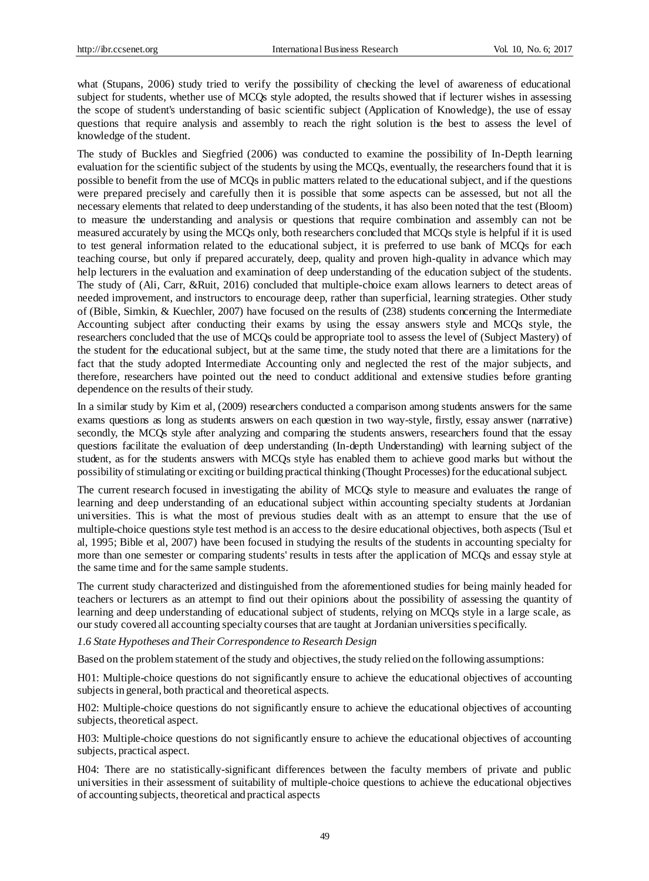what (Stupans, 2006) study tried to verify the possibility of checking the level of awareness of educational subject for students, whether use of MCQs style adopted, the results showed that if lecturer wishes in assessing the scope of student's understanding of basic scientific subject (Application of Knowledge), the use of essay questions that require analysis and assembly to reach the right solution is the best to assess the level of knowledge of the student.

The study of Buckles and Siegfried (2006) was conducted to examine the possibility of In-Depth learning evaluation for the scientific subject of the students by using the MCQs, eventually, the researchers found that it is possible to benefit from the use of MCQs in public matters related to the educational subject, and if the questions were prepared precisely and carefully then it is possible that some aspects can be assessed, but not all the necessary elements that related to deep understanding of the students, it has also been noted that the test (Bloom) to measure the understanding and analysis or questions that require combination and assembly can not be measured accurately by using the MCQs only, both researchers concluded that MCQs style is helpful if it is used to test general information related to the educational subject, it is preferred to use bank of MCQs for each teaching course, but only if prepared accurately, deep, quality and proven high-quality in advance which may help lecturers in the evaluation and examination of deep understanding of the education subject of the students. The study of (Ali, Carr, &Ruit, 2016) concluded that multiple-choice exam allows learners to detect areas of needed improvement, and instructors to encourage deep, rather than superficial, learning strategies. Other study of (Bible, Simkin, & Kuechler, 2007) have focused on the results of (238) students concerning the Intermediate Accounting subject after conducting their exams by using the essay answers style and MCQs style, the researchers concluded that the use of MCQs could be appropriate tool to assess the level of (Subject Mastery) of the student for the educational subject, but at the same time, the study noted that there are a limitations for the fact that the study adopted Intermediate Accounting only and neglected the rest of the major subjects, and therefore, researchers have pointed out the need to conduct additional and extensive studies before granting dependence on the results of their study.

In a similar study by Kim et al, (2009) researchers conducted a comparison among students answers for the same exams questions as long as students answers on each question in two way-style, firstly, essay answer (narrative) secondly, the MCQs style after analyzing and comparing the students answers, researchers found that the essay questions facilitate the evaluation of deep understanding (In-depth Understanding) with learning subject of the student, as for the students answers with MCQs style has enabled them to achieve good marks but without the possibility of stimulating or exciting or building practical thinking (Thought Processes) for the educational subject.

The current research focused in investigating the ability of MCQs style to measure and evaluates the range of learning and deep understanding of an educational subject within accounting specialty students at Jordanian universities. This is what the most of previous studies dealt with as an attempt to ensure that the use of multiple-choice questions style test method is an access to the desire educational objectives, both aspects (Tsul et al, 1995; Bible et al, 2007) have been focused in studying the results of the students in accounting specialty for more than one semester or comparing students' results in tests after the application of MCQs and essay style at the same time and for the same sample students.

The current study characterized and distinguished from the aforementioned studies for being mainly headed for teachers or lecturers as an attempt to find out their opinions about the possibility of assessing the quantity of learning and deep understanding of educational subject of students, relying on MCQs style in a large scale, as our study covered all accounting specialty courses that are taught at Jordanian universities specifically.

#### *1.6 State Hypotheses and Their Correspondence to Research Design*

Based on the problem statement of the study and objectives, the study relied on the following assumptions:

H01: Multiple-choice questions do not significantly ensure to achieve the educational objectives of accounting subjects in general, both practical and theoretical aspects.

H02: Multiple-choice questions do not significantly ensure to achieve the educational objectives of accounting subjects, theoretical aspect.

H03: Multiple-choice questions do not significantly ensure to achieve the educational objectives of accounting subjects, practical aspect.

H04: There are no statistically-significant differences between the faculty members of private and public universities in their assessment of suitability of multiple-choice questions to achieve the educational objectives of accounting subjects, theoretical and practical aspects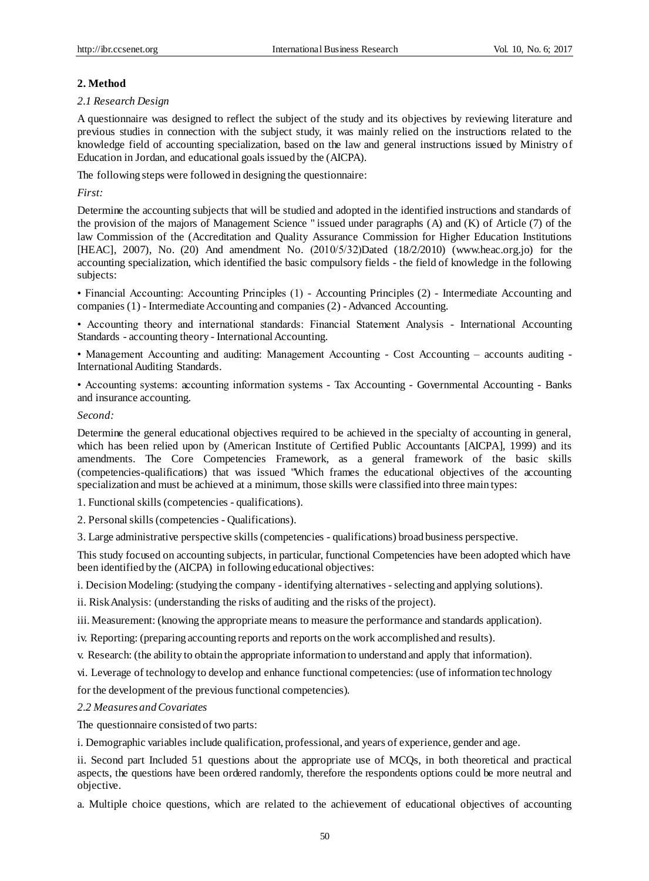# **2. Method**

#### *2.1 Research Design*

A questionnaire was designed to reflect the subject of the study and its objectives by reviewing literature and previous studies in connection with the subject study, it was mainly relied on the instructions related to the knowledge field of accounting specialization, based on the law and general instructions issued by Ministry of Education in Jordan, and educational goals issued by the (AICPA).

The following steps were followed in designing the questionnaire:

*First:*

Determine the accounting subjects that will be studied and adopted in the identified instructions and standards of the provision of the majors of Management Science " issued under paragraphs (A) and (K) of Article (7) of the law Commission of the (Accreditation and Quality Assurance Commission for Higher Education Institutions [HEAC], 2007), No. (20) And amendment No. (2010/5/32)Dated (18/2/2010) (www.heac.org.jo) for the accounting specialization, which identified the basic compulsory fields - the field of knowledge in the following subjects:

• Financial Accounting: Accounting Principles (1) - Accounting Principles (2) - Intermediate Accounting and companies (1) - Intermediate Accounting and companies (2) -Advanced Accounting.

• Accounting theory and international standards: Financial Statement Analysis - International Accounting Standards - accounting theory - International Accounting.

• Management Accounting and auditing: Management Accounting - Cost Accounting – accounts auditing - International Auditing Standards.

• Accounting systems: accounting information systems - Tax Accounting - Governmental Accounting - Banks and insurance accounting.

#### *Second:*

Determine the general educational objectives required to be achieved in the specialty of accounting in general, which has been relied upon by (American Institute of Certified Public Accountants [AICPA], 1999) and its amendments. The Core Competencies Framework, as a general framework of the basic skills (competencies-qualifications) that was issued "Which frames the educational objectives of the accounting specialization and must be achieved at a minimum, those skills were classified into three main types:

1. Functional skills (competencies - qualifications).

2. Personal skills (competencies - Qualifications).

3. Large administrative perspective skills (competencies - qualifications) broad business perspective.

This study focused on accounting subjects, in particular, functional Competencies have been adopted which have been identified by the (AICPA) in following educational objectives:

i. Decision Modeling: (studying the company - identifying alternatives - selecting and applying solutions).

ii. Risk Analysis: (understanding the risks of auditing and the risks of the project).

iii. Measurement: (knowing the appropriate means to measure the performance and standards application).

iv. Reporting: (preparing accounting reports and reports on the work accomplished and results).

v. Research: (the ability to obtain the appropriate information to understand and apply that information).

vi. Leverage of technology to develop and enhance functional competencies: (use of information technology

for the development of the previous functional competencies).

# *2.2 Measures and Covariates*

The questionnaire consisted of two parts:

i. Demographic variables include qualification, professional, and years of experience, gender and age.

ii. Second part Included 51 questions about the appropriate use of MCQs, in both theoretical and practical aspects, the questions have been ordered randomly, therefore the respondents options could be more neutral and objective.

a. Multiple choice questions, which are related to the achievement of educational objectives of accounting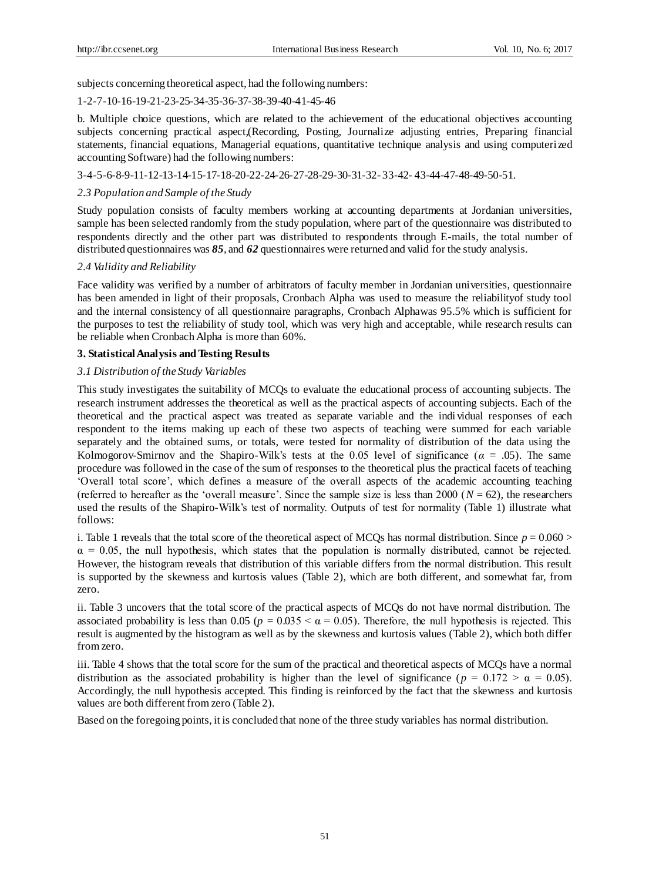subjects concerning theoretical aspect, had the following numbers:

# 1-2-7-10-16-19-21-23-25-34-35-36-37-38-39-40-41-45-46

b. Multiple choice questions, which are related to the achievement of the educational objectives accounting subjects concerning practical aspect,(Recording, Posting, Journalize adjusting entries, Preparing financial statements, financial equations, Managerial equations, quantitative technique analysis and using computerized accounting Software) had the following numbers:

3-4-5-6-8-9-11-12-13-14-15-17-18-20-22-24-26-27-28-29-30-31-32- 33-42- 43-44-47-48-49-50-51.

#### *2.3 Population and Sample of the Study*

Study population consists of faculty members working at accounting departments at Jordanian universities, sample has been selected randomly from the study population, where part of the questionnaire was distributed to respondents directly and the other part was distributed to respondents through E-mails, the total number of distributed questionnaires was *85*, and *62* questionnaires were returned and valid for the study analysis.

#### *2.4 Validity and Reliability*

Face validity was verified by a number of arbitrators of faculty member in Jordanian universities, questionnaire has been amended in light of their proposals, Cronbach Alpha was used to measure the reliabilityof study tool and the internal consistency of all questionnaire paragraphs, Cronbach Alphawas 95.5% which is sufficient for the purposes to test the reliability of study tool, which was very high and acceptable, while research results can be reliable when Cronbach Alpha is more than 60%.

# **3. Statistical Analysis and Testing Results**

#### *3.1 Distribution of the Study Variables*

This study investigates the suitability of MCQs to evaluate the educational process of accounting subjects. The research instrument addresses the theoretical as well as the practical aspects of accounting subjects. Each of the theoretical and the practical aspect was treated as separate variable and the indi vidual responses of each respondent to the items making up each of these two aspects of teaching were summed for each variable separately and the obtained sums, or totals, were tested for normality of distribution of the data using the Kolmogorov-Smirnov and the Shapiro-Wilk's tests at the 0.05 level of significance ( $\alpha = .05$ ). The same procedure was followed in the case of the sum of responses to the theoretical plus the practical facets of teaching 'Overall total score', which defines a measure of the overall aspects of the academic accounting teaching (referred to hereafter as the 'overall measure'. Since the sample size is less than  $2000 (N = 62)$ , the researchers used the results of the Shapiro-Wilk's test of normality. Outputs of test for normality (Table 1) illustrate what follows:

i. Table 1 reveals that the total score of the theoretical aspect of MCOs has normal distribution. Since  $p = 0.060$  >  $\alpha$  = 0.05, the null hypothesis, which states that the population is normally distributed, cannot be rejected. However, the histogram reveals that distribution of this variable differs from the normal distribution. This result is supported by the skewness and kurtosis values (Table 2), which are both different, and somewhat far, from zero.

ii. Table 3 uncovers that the total score of the practical aspects of MCQs do not have normal distribution. The associated probability is less than 0.05 ( $p = 0.035 < \alpha = 0.05$ ). Therefore, the null hypothesis is rejected. This result is augmented by the histogram as well as by the skewness and kurtosis values (Table 2), which both differ from zero.

iii. Table 4 shows that the total score for the sum of the practical and theoretical aspects of MCQs have a normal distribution as the associated probability is higher than the level of significance ( $p = 0.172 > \alpha = 0.05$ ). Accordingly, the null hypothesis accepted. This finding is reinforced by the fact that the skewness and kurtosis values are both different from zero (Table 2).

Based on the foregoing points, it is concluded that none of the three study variables has normal distribution.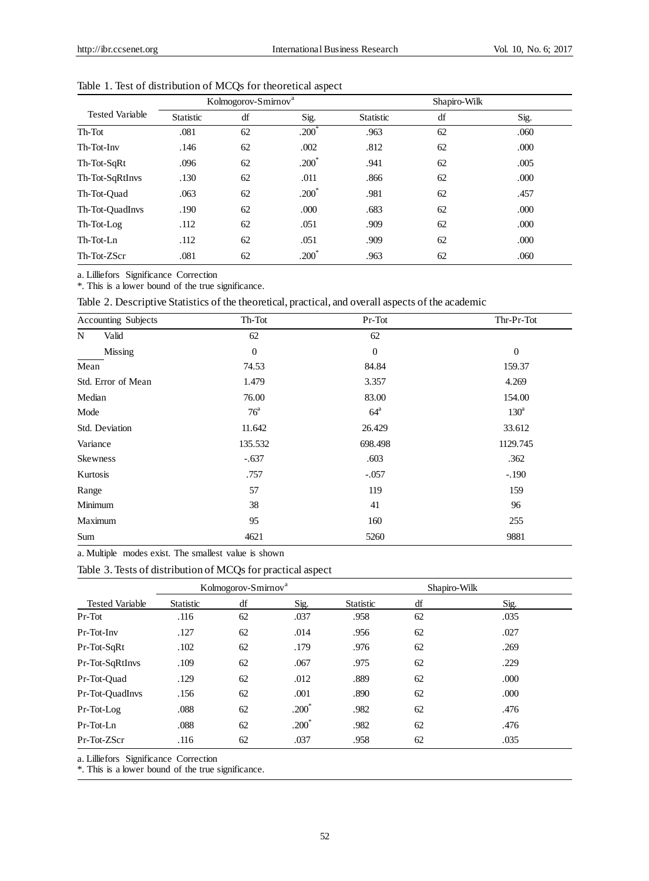|                        |           | Kolmogorov-Smirnov <sup>a</sup> |                  |                  | Shapiro-Wilk |      |  |  |
|------------------------|-----------|---------------------------------|------------------|------------------|--------------|------|--|--|
| <b>Tested Variable</b> | Statistic | df                              | Sig.             | <b>Statistic</b> | df           | Sig. |  |  |
| Th-Tot                 | .081      | 62                              | $.200^{\degree}$ | .963             | 62           | .060 |  |  |
| Th-Tot-Inv             | .146      | 62                              | .002             | .812             | 62           | .000 |  |  |
| Th-Tot-SqRt            | .096      | 62                              | $.200^{\degree}$ | .941             | 62           | .005 |  |  |
| Th-Tot-SqRtInvs        | .130      | 62                              | .011             | .866             | 62           | .000 |  |  |
| Th-Tot-Ouad            | .063      | 62                              | $.200*$          | .981             | 62           | .457 |  |  |
| Th-Tot-QuadInvs        | .190      | 62                              | .000             | .683             | 62           | .000 |  |  |
| Th-Tot-Log             | .112      | 62                              | .051             | .909             | 62           | .000 |  |  |
| Th-Tot-Ln              | .112      | 62                              | .051             | .909             | 62           | .000 |  |  |
| Th-Tot-ZScr            | .081      | 62                              | $.200^{\degree}$ | .963             | 62           | .060 |  |  |

Table 1. Test of distribution of MCQs for theoretical aspect

a. Lilliefors Significance Correction

\*. This is a lower bound of the true significance.

Table 2. Descriptive Statistics of the theoretical, practical, and overall aspects of the academic

|                | Accounting Subjects | Th-Tot           | Pr-Tot            | Thr-Pr-Tot       |
|----------------|---------------------|------------------|-------------------|------------------|
| N              | Valid               | 62               | 62                |                  |
|                | Missing             | $\boldsymbol{0}$ | $\theta$          | $\mathbf{0}$     |
| Mean           |                     | 74.53            | 84.84             | 159.37           |
|                | Std. Error of Mean  | 1.479            | 3.357             | 4.269            |
| Median         |                     | 76.00            | 83.00             | 154.00           |
| Mode           |                     | 76 <sup>a</sup>  | $64^{\mathrm{a}}$ | 130 <sup>a</sup> |
| Std. Deviation |                     | 11.642           | 26.429            | 33.612           |
| Variance       |                     | 135.532          | 698.498           | 1129.745         |
| Skewness       |                     | $-.637$          | .603              | .362             |
| Kurtosis       |                     | .757             | $-.057$           | $-.190$          |
| Range          |                     | 57               | 119               | 159              |
| Minimum        |                     | 38               | 41                | 96               |
| Maximum        |                     | 95               | 160               | 255              |
| Sum            |                     | 4621             | 5260              | 9881             |

a. Multiple modes exist. The smallest value is shown

Table 3. Tests of distribution of MCQs for practical aspect

|                        |                  | Kolmogorov-Smirnov <sup>a</sup> |          |                  | Shapiro-Wilk |      |  |  |
|------------------------|------------------|---------------------------------|----------|------------------|--------------|------|--|--|
| <b>Tested Variable</b> | <b>Statistic</b> | df                              | Sig.     | <b>Statistic</b> | df           | Sig. |  |  |
| Pr-Tot                 | .116             | 62                              | .037     | .958             | 62           | .035 |  |  |
| Pr-Tot-Inv             | .127             | 62                              | .014     | .956             | 62           | .027 |  |  |
| Pr-Tot-SqRt            | .102             | 62                              | .179     | .976             | 62           | .269 |  |  |
| Pr-Tot-SqRtInvs        | .109             | 62                              | .067     | .975             | 62           | .229 |  |  |
| Pr-Tot-Ouad            | .129             | 62                              | .012     | .889             | 62           | .000 |  |  |
| Pr-Tot-OuadInvs        | .156             | 62                              | .001     | .890             | 62           | .000 |  |  |
| Pr-Tot-Log             | .088             | 62                              | $.200^*$ | .982             | 62           | .476 |  |  |
| Pr-Tot-Ln              | .088             | 62                              | $.200*$  | .982             | 62           | .476 |  |  |
| Pr-Tot-ZScr            | .116             | 62                              | .037     | .958             | 62           | .035 |  |  |

a. Lilliefors Significance Correction

\*. This is a lower bound of the true significance.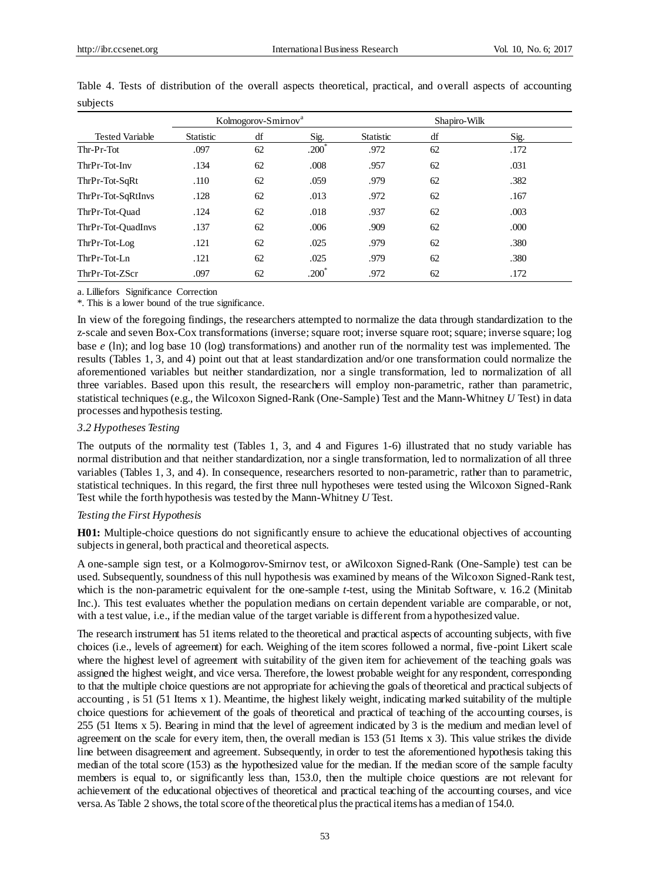|                        |                  | Kolmogorov-Smirnov <sup>a</sup> |                  |                  | Shapiro-Wilk |      |  |  |
|------------------------|------------------|---------------------------------|------------------|------------------|--------------|------|--|--|
| <b>Tested Variable</b> | <b>Statistic</b> | df                              | Sig.             | <b>Statistic</b> | df           | Sig. |  |  |
| Thr-Pr-Tot             | .097             | 62                              | $.200^*$         | .972             | 62           | .172 |  |  |
| ThrPr-Tot-Inv          | .134             | 62                              | .008             | .957             | 62           | .031 |  |  |
| ThrPr-Tot-SqRt         | .110             | 62                              | .059             | .979             | 62           | .382 |  |  |
| ThrPr-Tot-SqRtInvs     | .128             | 62                              | .013             | .972             | 62           | .167 |  |  |
| ThrPr-Tot-Ouad         | .124             | 62                              | .018             | .937             | 62           | .003 |  |  |
| ThrPr-Tot-OuadInvs     | .137             | 62                              | .006             | .909             | 62           | .000 |  |  |
| ThrPr-Tot-Log          | .121             | 62                              | .025             | .979             | 62           | .380 |  |  |
| $ThrPr-Tot-Ln$         | .121             | 62                              | .025             | .979             | 62           | .380 |  |  |
| ThrPr-Tot-ZScr         | .097             | 62                              | $.200^{\degree}$ | .972             | 62           | .172 |  |  |

Table 4. Tests of distribution of the overall aspects theoretical, practical, and overall aspects of accounting subjects

a. Lilliefors Significance Correction

\*. This is a lower bound of the true significance.

In view of the foregoing findings, the researchers attempted to normalize the data through standardization to the z-scale and seven Box-Cox transformations (inverse; square root; inverse square root; square; inverse square; log base *e* (ln); and log base 10 (log) transformations) and another run of the normality test was implemented. The results (Tables 1, 3, and 4) point out that at least standardization and/or one transformation could normalize the aforementioned variables but neither standardization, nor a single transformation, led to normalization of all three variables. Based upon this result, the researchers will employ non-parametric, rather than parametric, statistical techniques (e.g., the Wilcoxon Signed-Rank (One-Sample) Test and the Mann-Whitney *U* Test) in data processes and hypothesis testing.

# *3.2 Hypotheses Testing*

The outputs of the normality test (Tables 1, 3, and 4 and Figures 1-6) illustrated that no study variable has normal distribution and that neither standardization, nor a single transformation, led to normalization of all three variables (Tables 1, 3, and 4). In consequence, researchers resorted to non-parametric, rather than to parametric, statistical techniques. In this regard, the first three null hypotheses were tested using the Wilcoxon Signed-Rank Test while the forth hypothesis was tested by the Mann-Whitney *U* Test.

# *Testing the First Hypothesis*

**H01:** Multiple-choice questions do not significantly ensure to achieve the educational objectives of accounting subjects in general, both practical and theoretical aspects.

A one-sample sign test, or a Kolmogorov-Smirnov test, or aWilcoxon Signed-Rank (One-Sample) test can be used. Subsequently, soundness of this null hypothesis was examined by means of the Wilcoxon Signed-Rank test, which is the non-parametric equivalent for the one-sample *t*-test, using the Minitab Software, v. 16.2 (Minitab Inc.). This test evaluates whether the population medians on certain dependent variable are comparable, or not, with a test value, i.e., if the median value of the target variable is different from a hypothesized value.

The research instrument has 51 items related to the theoretical and practical aspects of accounting subjects, with five choices (i.e., levels of agreement) for each. Weighing of the item scores followed a normal, five-point Likert scale where the highest level of agreement with suitability of the given item for achievement of the teaching goals was assigned the highest weight, and vice versa. Therefore, the lowest probable weight for any respondent, corresponding to that the multiple choice questions are not appropriate for achieving the goals of theoretical and practical subjects of accounting , is 51 (51 Items x 1). Meantime, the highest likely weight, indicating marked suitability of the multiple choice questions for achievement of the goals of theoretical and practical of teaching of the accounting courses, is 255 (51 Items x 5). Bearing in mind that the level of agreement indicated by 3 is the medium and median level of agreement on the scale for every item, then, the overall median is 153 (51 Items x 3). This value strikes the divide line between disagreement and agreement. Subsequently, in order to test the aforementioned hypothesis taking this median of the total score (153) as the hypothesized value for the median. If the median score of the sample faculty members is equal to, or significantly less than, 153.0, then the multiple choice questions are not relevant for achievement of the educational objectives of theoretical and practical teaching of the accounting courses, and vice versa. As Table 2 shows, the total score of the theoretical plus the practical items has a median of 154.0.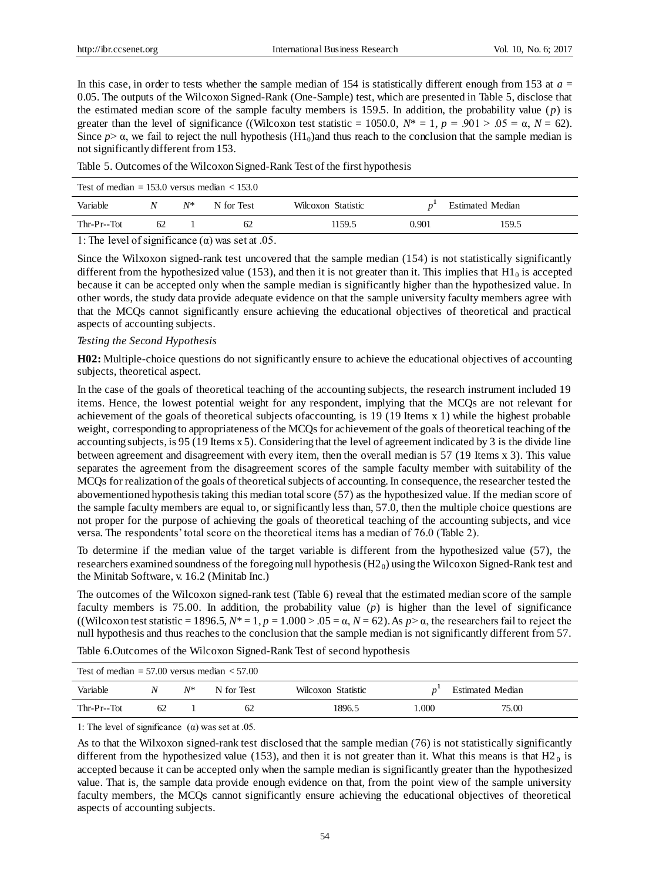In this case, in order to tests whether the sample median of 154 is statistically different enough from 153 at  $a =$ 0.05. The outputs of the Wilcoxon Signed-Rank (One-Sample) test, which are presented in Table 5, disclose that the estimated median score of the sample faculty members is 159.5. In addition, the probability value (*p*) is greater than the level of significance ((Wilcoxon test statistic = 1050.0,  $N^* = 1$ ,  $p = .901 > .05 = \alpha$ ,  $N = .62$ ). Since  $p > \alpha$ , we fail to reject the null hypothesis  $(Hl_0)$  and thus reach to the conclusion that the sample median is not significantly different from 153.

Table 5. Outcomes of the Wilcoxon Signed-Rank Test of the first hypothesis

| Test of median $= 153.0$ versus median $< 153.0$ |    |       |            |                    |                         |       |  |
|--------------------------------------------------|----|-------|------------|--------------------|-------------------------|-------|--|
| Variable                                         | N  | $N^*$ | N for Test | Wilcoxon Statistic | <b>Estimated Median</b> |       |  |
| Thr-Pr--Tot                                      | 62 |       | 62         | 1159.5             | 0.901                   | 159.5 |  |

1: The level of significance  $(\alpha)$  was set at .05.

Since the Wilxoxon signed-rank test uncovered that the sample median (154) is not statistically significantly different from the hypothesized value (153), and then it is not greater than it. This implies that  $H1_0$  is accepted because it can be accepted only when the sample median is significantly higher than the hypothesized value. In other words, the study data provide adequate evidence on that the sample university faculty members agree with that the MCQs cannot significantly ensure achieving the educational objectives of theoretical and practical aspects of accounting subjects.

# *Testing the Second Hypothesis*

**H02:** Multiple-choice questions do not significantly ensure to achieve the educational objectives of accounting subjects, theoretical aspect.

In the case of the goals of theoretical teaching of the accounting subjects, the research instrument included 19 items. Hence, the lowest potential weight for any respondent, implying that the MCQs are not relevant for achievement of the goals of theoretical subjects ofaccounting, is 19 (19 Items x 1) while the highest probable weight, corresponding to appropriateness of the MCQs for achievement of the goals of theoretical teaching of the accounting subjects, is 95 (19 Items x 5). Considering that the level of agreement indicated by 3 is the divide line between agreement and disagreement with every item, then the overall median is 57 (19 Items x 3). This value separates the agreement from the disagreement scores of the sample faculty member with suitability of the MCQs for realization of the goals of theoretical subjects of accounting. In consequence, the researcher tested the abovementioned hypothesis taking this median total score (57) as the hypothesized value. If the median score of the sample faculty members are equal to, or significantly less than, 57.0, then the multiple choice questions are not proper for the purpose of achieving the goals of theoretical teaching of the accounting subjects, and vice versa. The respondents' total score on the theoretical items has a median of 76.0 (Table 2).

To determine if the median value of the target variable is different from the hypothesized value (57), the researchers examined soundness of the foregoing null hypothesis  $(H2<sub>0</sub>)$  using the Wilcoxon Signed-Rank test and the Minitab Software, v. 16.2 (Minitab Inc.)

The outcomes of the Wilcoxon signed-rank test (Table 6) reveal that the estimated median score of the sample faculty members is 75.00. In addition, the probability value (*p*) is higher than the level of significance ((Wilcoxon test statistic = 1896.5,  $N^*$  = 1,  $p = 1.000$  > .05 =  $\alpha$ ,  $N = 62$ ). As  $p > \alpha$ , the researchers fail to reject the null hypothesis and thus reaches to the conclusion that the sample median is not significantly different from 57.

Table 6.Outcomes of the Wilcoxon Signed-Rank Test of second hypothesis

| Test of median $= 57.00$ versus median $< 57.00$ |    |       |            |                    |      |                         |  |
|--------------------------------------------------|----|-------|------------|--------------------|------|-------------------------|--|
| Variable                                         | N  | $N^*$ | N for Test | Wilcoxon Statistic |      | <b>Estimated Median</b> |  |
| Thr-Pr--Tot                                      | 62 |       | 62         | 1896.5             | .000 | 75.00                   |  |

1: The level of significance  $(\alpha)$  was set at .05.

As to that the Wilxoxon signed-rank test disclosed that the sample median (76) is not statistically significantly different from the hypothesized value (153), and then it is not greater than it. What this means is that  $H2<sub>0</sub>$  is accepted because it can be accepted only when the sample median is significantly greater than the hypothesized value. That is, the sample data provide enough evidence on that, from the point view of the sample university faculty members, the MCQs cannot significantly ensure achieving the educational objectives of theoretical aspects of accounting subjects.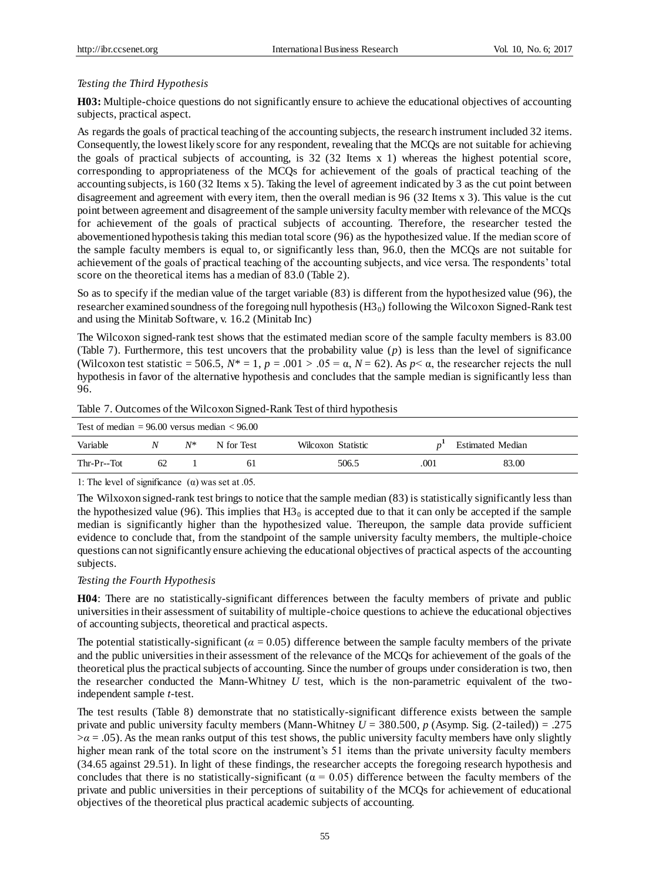# *Testing the Third Hypothesis*

**H03:** Multiple-choice questions do not significantly ensure to achieve the educational objectives of accounting subjects, practical aspect.

As regards the goals of practical teaching of the accounting subjects, the research instrument included 32 items. Consequently, the lowest likely score for any respondent, revealing that the MCQs are not suitable for achieving the goals of practical subjects of accounting, is 32 (32 Items x 1) whereas the highest potential score, corresponding to appropriateness of the MCQs for achievement of the goals of practical teaching of the accounting subjects, is 160 (32 Items x 5). Taking the level of agreement indicated by 3 as the cut point between disagreement and agreement with every item, then the overall median is 96 (32 Items x 3). This value is the cut point between agreement and disagreement of the sample university faculty member with relevance of the MCQs for achievement of the goals of practical subjects of accounting. Therefore, the researcher tested the abovementioned hypothesis taking this median total score (96) as the hypothesized value. If the median score of the sample faculty members is equal to, or significantly less than, 96.0, then the MCQs are not suitable for achievement of the goals of practical teaching of the accounting subjects, and vice versa. The respondents' total score on the theoretical items has a median of 83.0 (Table 2).

So as to specify if the median value of the target variable (83) is different from the hypothesized value (96), the researcher examined soundness of the foregoing null hypothesis  $(H3<sub>0</sub>)$  following the Wilcoxon Signed-Rank test and using the Minitab Software, v. 16.2 (Minitab Inc)

The Wilcoxon signed-rank test shows that the estimated median score of the sample faculty members is 83.00 (Table 7). Furthermore, this test uncovers that the probability value (*p*) is less than the level of significance (Wilcoxon test statistic = 506.5,  $N^* = 1$ ,  $p = .001 > .05 = \alpha$ ,  $N = 62$ ). As  $p < \alpha$ , the researcher rejects the null hypothesis in favor of the alternative hypothesis and concludes that the sample median is significantly less than 96.

|  |  | Table 7. Outcomes of the Wilcoxon Signed-Rank Test of third hypothesis |
|--|--|------------------------------------------------------------------------|
|  |  |                                                                        |

| Test of median $= 96.00$ versus median $< 96.00$ |    |    |            |                    |      |                         |
|--------------------------------------------------|----|----|------------|--------------------|------|-------------------------|
| Variable                                         | N  | N* | N for Test | Wilcoxon Statistic |      | <b>Estimated Median</b> |
| Thr-Pr--Tot                                      | 62 |    | 61         | 506.5              | .001 | 83.00                   |

1: The level of significance  $(\alpha)$  was set at .05.

The Wilxoxon signed-rank test brings to notice that the sample median (83) is statistically significantly less than the hypothesized value (96). This implies that  $H_0^2$  is accepted due to that it can only be accepted if the sample median is significantly higher than the hypothesized value. Thereupon, the sample data provide sufficient evidence to conclude that, from the standpoint of the sample university faculty members, the multiple-choice questions can not significantly ensure achieving the educational objectives of practical aspects of the accounting subjects.

#### *Testing the Fourth Hypothesis*

**H04**: There are no statistically-significant differences between the faculty members of private and public universities in their assessment of suitability of multiple-choice questions to achieve the educational objectives of accounting subjects, theoretical and practical aspects.

The potential statistically-significant ( $\alpha$  = 0.05) difference between the sample faculty members of the private and the public universities in their assessment of the relevance of the MCQs for achievement of the goals of the theoretical plus the practical subjects of accounting. Since the number of groups under consideration is two, then the researcher conducted the Mann-Whitney *U* test, which is the non-parametric equivalent of the twoindependent sample *t*-test.

The test results (Table 8) demonstrate that no statistically-significant difference exists between the sample private and public university faculty members (Mann-Whitney *U* = 380.500, *p* (Asymp. Sig. (2-tailed)) = .275  $\alpha$  = .05). As the mean ranks output of this test shows, the public university faculty members have only slightly higher mean rank of the total score on the instrument's 51 items than the private university faculty members (34.65 against 29.51). In light of these findings, the researcher accepts the foregoing research hypothesis and concludes that there is no statistically-significant ( $\alpha$  = 0.05) difference between the faculty members of the private and public universities in their perceptions of suitability of the MCQs for achievement of educational objectives of the theoretical plus practical academic subjects of accounting.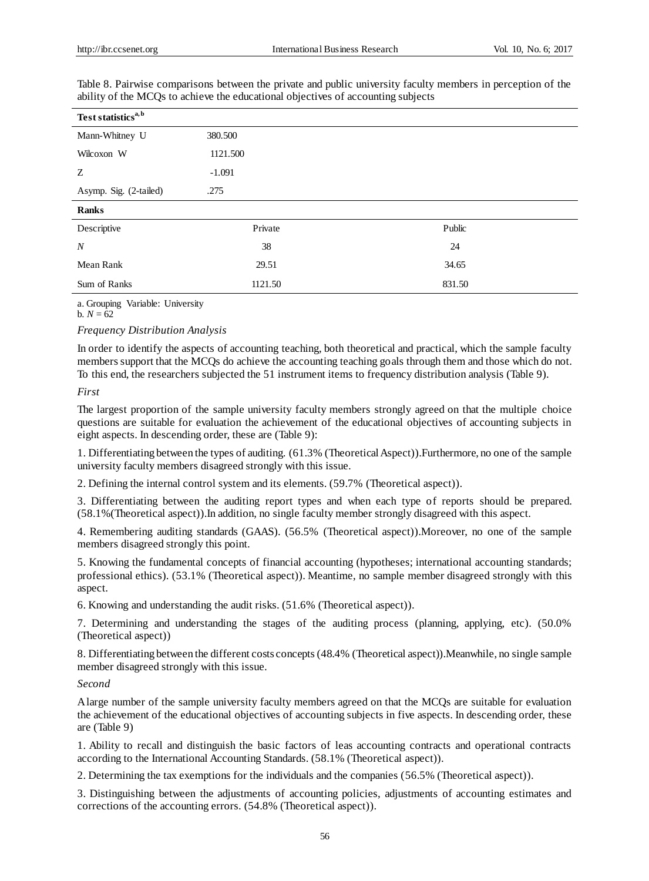| Test statistics <sup>a, b</sup> |          |        |  |
|---------------------------------|----------|--------|--|
| Mann-Whitney U                  | 380.500  |        |  |
| Wilcoxon W                      | 1121.500 |        |  |
| Z                               | $-1.091$ |        |  |
| Asymp. Sig. (2-tailed)          | .275     |        |  |
| <b>Ranks</b>                    |          |        |  |
| Descriptive                     | Private  | Public |  |
| $\boldsymbol{N}$                | 38       | 24     |  |
| Mean Rank                       | 29.51    | 34.65  |  |
| Sum of Ranks                    | 1121.50  | 831.50 |  |

Table 8. Pairwise comparisons between the private and public university faculty members in perception of the ability of the MCQs to achieve the educational objectives of accounting subjects

a. Grouping Variable: University

 $b. N = 62$ 

# *Frequency Distribution Analysis*

In order to identify the aspects of accounting teaching, both theoretical and practical, which the sample faculty members support that the MCQs do achieve the accounting teaching goals through them and those which do not. To this end, the researchers subjected the 51 instrument items to frequency distribution analysis (Table 9).

#### *First*

The largest proportion of the sample university faculty members strongly agreed on that the multiple choice questions are suitable for evaluation the achievement of the educational objectives of accounting subjects in eight aspects. In descending order, these are (Table 9):

1. Differentiating between the types of auditing. (61.3% (Theoretical Aspect)).Furthermore, no one of the sample university faculty members disagreed strongly with this issue.

2. Defining the internal control system and its elements. (59.7% (Theoretical aspect)).

3. Differentiating between the auditing report types and when each type of reports should be prepared. (58.1%(Theoretical aspect)).In addition, no single faculty member strongly disagreed with this aspect.

4. Remembering auditing standards (GAAS). (56.5% (Theoretical aspect)).Moreover, no one of the sample members disagreed strongly this point.

5. Knowing the fundamental concepts of financial accounting (hypotheses; international accounting standards; professional ethics). (53.1% (Theoretical aspect)). Meantime, no sample member disagreed strongly with this aspect.

6. Knowing and understanding the audit risks. (51.6% (Theoretical aspect)).

7. Determining and understanding the stages of the auditing process (planning, applying, etc). (50.0% (Theoretical aspect))

8. Differentiating between the different costs concepts (48.4% (Theoretical aspect)).Meanwhile, no single sample member disagreed strongly with this issue.

# *Second*

A large number of the sample university faculty members agreed on that the MCQs are suitable for evaluation the achievement of the educational objectives of accounting subjects in five aspects. In descending order, these are (Table 9)

1. Ability to recall and distinguish the basic factors of leas accounting contracts and operational contracts according to the International Accounting Standards. (58.1% (Theoretical aspect)).

2. Determining the tax exemptions for the individuals and the companies (56.5% (Theoretical aspect)).

3. Distinguishing between the adjustments of accounting policies, adjustments of accounting estimates and corrections of the accounting errors. (54.8% (Theoretical aspect)).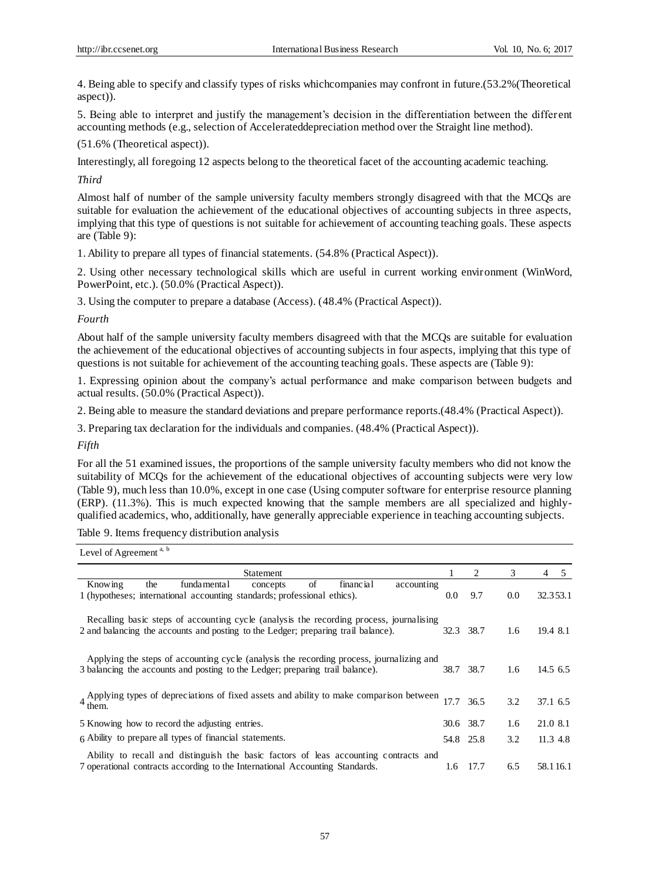4. Being able to specify and classify types of risks whichcompanies may confront in future.(53.2%(Theoretical aspect)).

5. Being able to interpret and justify the management's decision in the differentiation between the differ ent accounting methods (e.g., selection of Accelerateddepreciation method over the Straight line method).

(51.6% (Theoretical aspect)).

Interestingly, all foregoing 12 aspects belong to the theoretical facet of the accounting academic teaching.

*Third*

Almost half of number of the sample university faculty members strongly disagreed with that the MCQs are suitable for evaluation the achievement of the educational objectives of accounting subjects in three aspects, implying that this type of questions is not suitable for achievement of accounting teaching goals. These aspects are (Table 9):

1. Ability to prepare all types of financial statements. (54.8% (Practical Aspect)).

2. Using other necessary technological skills which are useful in current working environment (WinWord, PowerPoint, etc.). (50.0% (Practical Aspect)).

3. Using the computer to prepare a database (Access). (48.4% (Practical Aspect)).

*Fourth*

About half of the sample university faculty members disagreed with that the MCQs are suitable for evaluation the achievement of the educational objectives of accounting subjects in four aspects, implying that this type of questions is not suitable for achievement of the accounting teaching goals. These aspects are (Table 9):

1. Expressing opinion about the company's actual performance and make comparison between budgets and actual results. (50.0% (Practical Aspect)).

2. Being able to measure the standard deviations and prepare performance reports.(48.4% (Practical Aspect)).

3. Preparing tax declaration for the individuals and companies. (48.4% (Practical Aspect)).

*Fifth*

For all the 51 examined issues, the proportions of the sample university faculty members who did not know the suitability of MCQs for the achievement of the educational objectives of accounting subjects were very low (Table 9), much less than 10.0%, except in one case (Using computer software for enterprise resource planning (ERP). (11.3%). This is much expected knowing that the sample members are all specialized and highlyqualified academics, who, additionally, have generally appreciable experience in teaching accounting subjects.

Table 9. Items frequency distribution analysis

Level of Agreement  $a, b$ 

| Statement                                                                                                                                                                    |      | 2         | 3   | 4<br>5      |
|------------------------------------------------------------------------------------------------------------------------------------------------------------------------------|------|-----------|-----|-------------|
| of<br>Knowing<br>fundamental<br>financial<br>the<br>accounting<br>concepts<br>1 (hypotheses; international accounting standards; professional ethics).                       | 0.0  | 9.7       | 0.0 | 32.353.1    |
| Recalling basic steps of accounting cycle (analysis the recording process, journalising<br>2 and balancing the accounts and posting to the Ledger; preparing trail balance). | 32.3 | 38.7      | 1.6 | 19.4 8.1    |
| Applying the steps of accounting cycle (analysis the recording process, journalizing and<br>3 balancing the accounts and posting to the Ledger; preparing trail balance).    | 38.7 | 38.7      | 1.6 | $14.5\,6.5$ |
| $4$ Applying types of depreciations of fixed assets and ability to make comparison between 17.7                                                                              |      | 36.5      | 3.2 | 37.1 6.5    |
| 5 Knowing how to record the adjusting entries.                                                                                                                               |      | 30.6 38.7 | 1.6 | 21.0 8.1    |
| 6 Ability to prepare all types of financial statements.                                                                                                                      |      | 54.8 25.8 | 3.2 | 11.3 4.8    |
| Ability to recall and distinguish the basic factors of leas accounting contracts and<br>7 operational contracts according to the International Accounting Standards.         | 1.6  | 17.7      | 6.5 | 58.116.1    |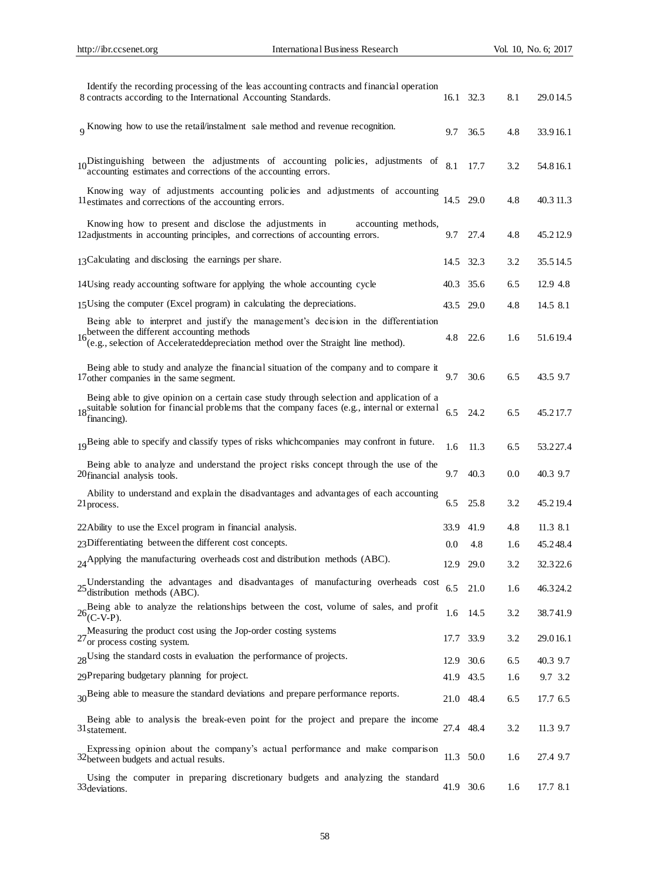| Identify the recording processing of the leas accounting contracts and financial operation<br>8 contracts according to the International Accounting Standards.                                                          |           | 16.1 32.3 | 8.1 | 29.014.5  |
|-------------------------------------------------------------------------------------------------------------------------------------------------------------------------------------------------------------------------|-----------|-----------|-----|-----------|
| <sub>9</sub> Knowing how to use the retail/instalment sale method and revenue recognition.                                                                                                                              | 9.7       | 36.5      | 4.8 | 33.916.1  |
| 10 <sup>D</sup> istinguishing between the adjustments of accounting policies, adjustments of<br>accounting estimates and corrections of the accounting errors.                                                          | 8.1       | 17.7      | 3.2 | 54.816.1  |
| Knowing way of adjustments accounting policies and adjustments of accounting<br>Il estimates and corrections of the accounting errors.                                                                                  |           | 14.5 29.0 | 4.8 | 40.3 11.3 |
| Knowing how to present and disclose the adjustments in<br>accounting methods.<br>12 adjustments in accounting principles, and corrections of accounting errors.                                                         | 9.7       | 27.4      | 4.8 | 45.212.9  |
| 13 Calculating and disclosing the earnings per share.                                                                                                                                                                   | 14.5      | 32.3      | 3.2 | 35.514.5  |
| 14 Using ready accounting software for applying the whole accounting cycle                                                                                                                                              | 40.3      | 35.6      | 6.5 | 12.9 4.8  |
| 15 Using the computer (Excel program) in calculating the depreciations.                                                                                                                                                 |           | 43.5 29.0 | 4.8 | 14.5 8.1  |
| Being able to interpret and justify the management's decision in the differentiation<br>16. between the different accounting methods                                                                                    | 4.8       | 22.6      | 1.6 | 51.619.4  |
| (e.g., selection of Accelerateddepreciation method over the Straight line method).                                                                                                                                      |           |           |     |           |
| Being able to study and analyze the financial situation of the company and to compare it<br>17 other companies in the same segment.                                                                                     | 9.7       | 30.6      | 6.5 | 43.5 9.7  |
| Being able to give opinion on a certain case study through selection and application of a<br>18 <sup>s</sup> utilible solution for financial problems that the company faces (e.g., internal or external<br>financing). | 6.5       | 24.2      | 6.5 | 45.217.7  |
| 19 Being able to specify and classify types of risks whichcompanies may confront in future.                                                                                                                             | 1.6       | 11.3      | 6.5 | 53.227.4  |
| Being able to analyze and understand the project risks concept through the use of the<br>20 financial analysis tools.                                                                                                   | 9.7       | 40.3      | 0.0 | 40.3 9.7  |
| Ability to understand and explain the disadvantages and advantages of each accounting<br>21 process.                                                                                                                    | 6.5       | 25.8      | 3.2 | 45.219.4  |
| 22 Ability to use the Excel program in financial analysis.                                                                                                                                                              | 33.9      | 41.9      | 4.8 | 11.3 8.1  |
| 23 Differentiating between the different cost concepts.                                                                                                                                                                 | 0.0       | 4.8       | 1.6 | 45.248.4  |
| $24$ Applying the manufacturing overheads cost and distribution methods (ABC).                                                                                                                                          |           | 12.9 29.0 | 3.2 | 32.322.6  |
| Understanding the advantages and disadvantages of manufacturing overheads cost<br>$25$ distribution methods (ABC).                                                                                                      | 6.5       | 21.0      | 1.6 | 46.324.2  |
| Being able to analyze the relationships between the cost, volume of sales, and profit<br>$26$ <sub>(C-V-P)</sub> .                                                                                                      | 1.6       | 14.5      | 3.2 | 38.741.9  |
| Measuring the product cost using the Jop-order costing systems<br>$27$ or process costing system.                                                                                                                       | 17.7      | 33.9      | 3.2 | 29.016.1  |
| 28Using the standard costs in evaluation the performance of projects.                                                                                                                                                   | 12.9      | 30.6      | 6.5 | 40.3 9.7  |
| 29 Preparing budgetary planning for project.                                                                                                                                                                            |           | 41.9 43.5 | 1.6 | 9.7 3.2   |
| 30 Being able to measure the standard deviations and prepare performance reports.                                                                                                                                       |           | 21.0 48.4 | 6.5 | 17.7 6.5  |
| Being able to analysis the break-even point for the project and prepare the income<br>31 statement.                                                                                                                     | 27.4 48.4 |           | 3.2 | 11.3 9.7  |
| Expressing opinion about the company's actual performance and make comparison<br>32between budgets and actual results.                                                                                                  |           | 11.3 50.0 | 1.6 | 27.4 9.7  |
| Using the computer in preparing discretionary budgets and analyzing the standard<br>33 deviations.                                                                                                                      | 41.9 30.6 |           | 1.6 | 17.7 8.1  |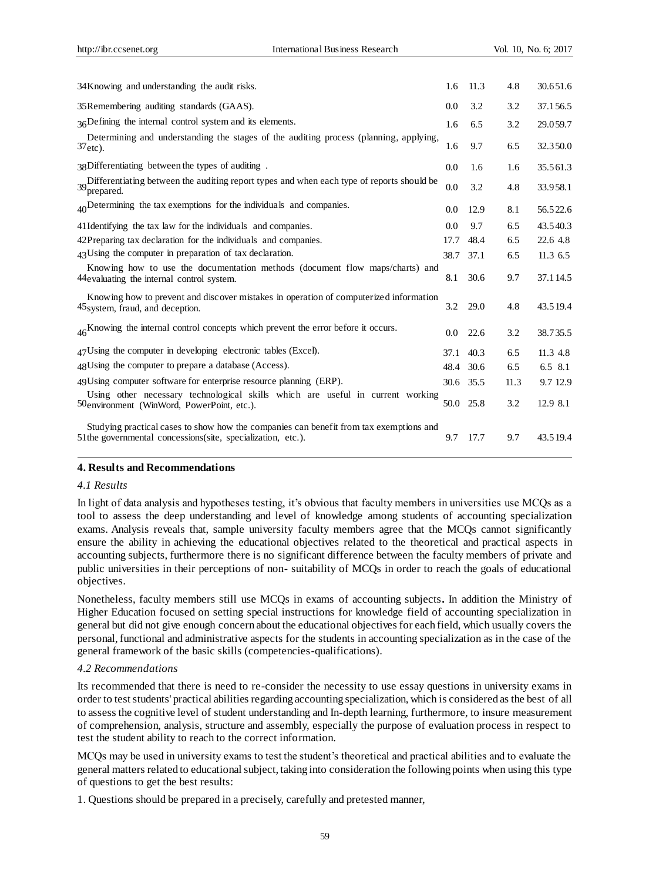| 34 Knowing and understanding the audit risks.                                                                                                           | 1.6  | 11.3 | 4.8  | 30.651.6 |
|---------------------------------------------------------------------------------------------------------------------------------------------------------|------|------|------|----------|
| 35 Remembering auditing standards (GAAS).                                                                                                               | 0.0  | 3.2  | 3.2  | 37.156.5 |
| 36Defining the internal control system and its elements.                                                                                                | 1.6  | 6.5  | 3.2  | 29.059.7 |
| Determining and understanding the stages of the auditing process (planning, applying,<br>$37$ <sub>etc</sub> ).                                         | 1.6  | 9.7  | 6.5  | 32.350.0 |
| 38Differentiating between the types of auditing.                                                                                                        | 0.0  | 1.6  | 1.6  | 35.561.3 |
| 39 Differentiating between the auditing report types and when each type of reports should be<br>39 prepared<br>'prepared.                               | 0.0  | 3.2  | 4.8  | 33.958.1 |
| $_{40}$ Determining the tax exemptions for the individuals and companies.                                                                               | 0.0  | 12.9 | 8.1  | 56.522.6 |
| 41 Identifying the tax law for the individuals and companies.                                                                                           | 0.0  | 9.7  | 6.5  | 43.540.3 |
| 42 Preparing tax declaration for the individuals and companies.                                                                                         | 17.7 | 48.4 | 6.5  | 22.6 4.8 |
| 43 Using the computer in preparation of tax declaration.                                                                                                | 38.7 | 37.1 | 6.5  | 11.3 6.5 |
| Knowing how to use the documentation methods (document flow maps/charts) and<br>44 evaluating the internal control system.                              | 8.1  | 30.6 | 9.7  | 37.114.5 |
| Knowing how to prevent and discover mistakes in operation of computerized information<br>45 system, fraud, and deception.                               | 3.2  | 29.0 | 4.8  | 43.519.4 |
| 46 <sup>K</sup> Knowing the internal control concepts which prevent the error before it occurs.                                                         | 0.0  | 22.6 | 3.2  | 38.735.5 |
| 47 Using the computer in developing electronic tables (Excel).                                                                                          | 37.1 | 40.3 | 6.5  | 11.3 4.8 |
| 48 Using the computer to prepare a database (Access).                                                                                                   | 48.4 | 30.6 | 6.5  | 6.5 8.1  |
| 49 Using computer software for enterprise resource planning (ERP).                                                                                      | 30.6 | 35.5 | 11.3 | 9.7 12.9 |
| Using other necessary technological skills which are useful in current working<br>50environment (WinWord, PowerPoint, etc.).                            | 50.0 | 25.8 | 3.2  | 12.9 8.1 |
| Studying practical cases to show how the companies can benefit from tax exemptions and<br>51 the governmental concessions (site, specialization, etc.). | 9.7  | 17.7 | 9.7  | 43.519.4 |

# **4. Results and Recommendations**

#### *4.1 Results*

In light of data analysis and hypotheses testing, it's obvious that faculty members in universities use MCQs as a tool to assess the deep understanding and level of knowledge among students of accounting specialization exams. Analysis reveals that, sample university faculty members agree that the MCQs cannot significantly ensure the ability in achieving the educational objectives related to the theoretical and practical aspects in accounting subjects, furthermore there is no significant difference between the faculty members of private and public universities in their perceptions of non- suitability of MCQs in order to reach the goals of educational objectives.

Nonetheless, faculty members still use MCQs in exams of accounting subjects**.** In addition the Ministry of Higher Education focused on setting special instructions for knowledge field of accounting specialization in general but did not give enough concern about the educational objectives for each field, which usually covers the personal, functional and administrative aspects for the students in accounting specialization as in the case of the general framework of the basic skills (competencies-qualifications).

#### *4.2 Recommendations*

Its recommended that there is need to re-consider the necessity to use essay questions in university exams in order to test students' practical abilities regarding accounting specialization, which is considered as the best of all to assess the cognitive level of student understanding and In-depth learning, furthermore, to insure measurement of comprehension, analysis, structure and assembly, especially the purpose of evaluation process in respect to test the student ability to reach to the correct information.

MCQs may be used in university exams to test the student's theoretical and practical abilities and to evaluate the general matters related to educational subject, taking into consideration the following points when using this type of questions to get the best results:

1. Questions should be prepared in a precisely, carefully and pretested manner,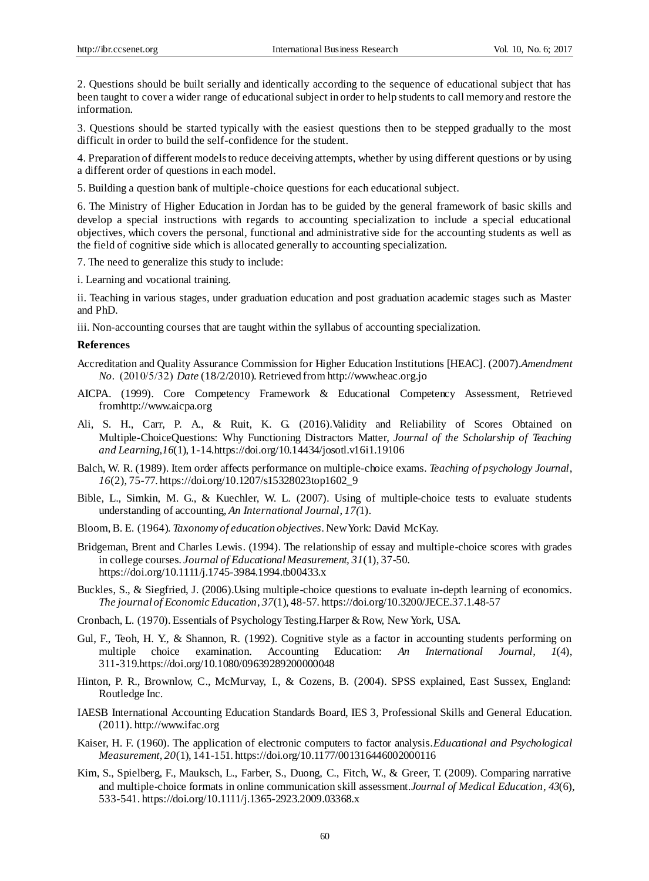2. Questions should be built serially and identically according to the sequence of educational subject that has been taught to cover a wider range of educational subject in order to help students to call memory and restore the information.

3. Questions should be started typically with the easiest questions then to be stepped gradually to the most difficult in order to build the self-confidence for the student.

4. Preparation of different models to reduce deceiving attempts, whether by using different questions or by using a different order of questions in each model.

5. Building a question bank of multiple-choice questions for each educational subject.

6. The Ministry of Higher Education in Jordan has to be guided by the general framework of basic skills and develop a special instructions with regards to accounting specialization to include a special educational objectives, which covers the personal, functional and administrative side for the accounting students as well as the field of cognitive side which is allocated generally to accounting specialization.

7. The need to generalize this study to include:

i. Learning and vocational training.

ii. Teaching in various stages, under graduation education and post graduation academic stages such as Master and PhD.

iii. Non-accounting courses that are taught within the syllabus of accounting specialization.

### **References**

- Accreditation and Quality Assurance Commission for Higher Education Institutions [HEAC]. (2007).*Amendment No.* (2010/5/32) *Date* (18/2/2010). Retrieved from http://www.heac.org.jo
- AICPA. (1999). Core Competency Framework & Educational Competency Assessment, Retrieved fro[mhttp://www.aicpa.org](http://www.aicpa.org/interestareas/accountingeducation/resources/pages/corecompetency.aspx)
- Ali, S. H., Carr, P. A., & Ruit, K. G. (2016).Validity and Reliability of Scores Obtained on Multiple-ChoiceQuestions: Why Functioning Distractors Matter, *Journal of the Scholarship of Teaching and Learning,16*(1), 1-14.https://doi.org/10.14434/josotl.v16i1.19106
- Balch, W. R. (1989). Item order affects performance on multiple-choice exams. *Teaching of psychology Journal*, *16*(2), 75-77. https://doi.org/10.1207/s15328023top1602\_9
- Bible, L., Simkin, M. G., & Kuechler, W. L. (2007). Using of multiple-choice tests to evaluate students understanding of accounting, *An International Journal*, *17(*1).
- Bloom, B. E. (1964)*. Taxonomy of education objectives*. New York: David McKay.
- Bridgeman, Brent and Charles Lewis. (1994). The relationship of essay and multiple-choice scores with grades in college courses. *Journal of Educational Measurement, 31*(1), 37-50. https://doi.org/10.1111/j.1745-3984.1994.tb00433.x
- Buckles, S., & Siegfried, J. (2006).Using multiple-choice questions to evaluate in-depth learning of economics. *The journal of Economic Education*, *37*(1), 48-57. https://doi.org/10.3200/JECE.37.1.48-57
- Cronbach, L. (1970). Essentials of Psychology Testing.Harper & Row, New York, USA.
- Gul, F., Teoh, H. Y., & Shannon, R. (1992). Cognitive style as a factor in accounting students performing on multiple choice examination. Accounting Education: *An International Journal*, *1*(4), 311-319.https://doi.org/10.1080/09639289200000048
- Hinton, P. R., Brownlow, C., McMurvay, I., & Cozens, B. (2004). SPSS explained, East Sussex, England: Routledge Inc.
- IAESB International Accounting Education Standards Board, IES 3, Professional Skills and General Education. (2011). http://www.ifac.org
- Kaiser, H. F. (1960). The application of electronic computers to factor analysis.*Educational and Psychological Measurement, 20*(1), 141-151. https://doi.org/10.1177/001316446002000116
- Kim, S., Spielberg, F., Mauksch, L., Farber, S., Duong, C., Fitch, W., & Greer, T. (2009). Comparing narrative and multiple-choice formats in online communication skill assessment.*Journal of Medical Education*, *43*(6), 533-541. https://doi.org/10.1111/j.1365-2923.2009.03368.x